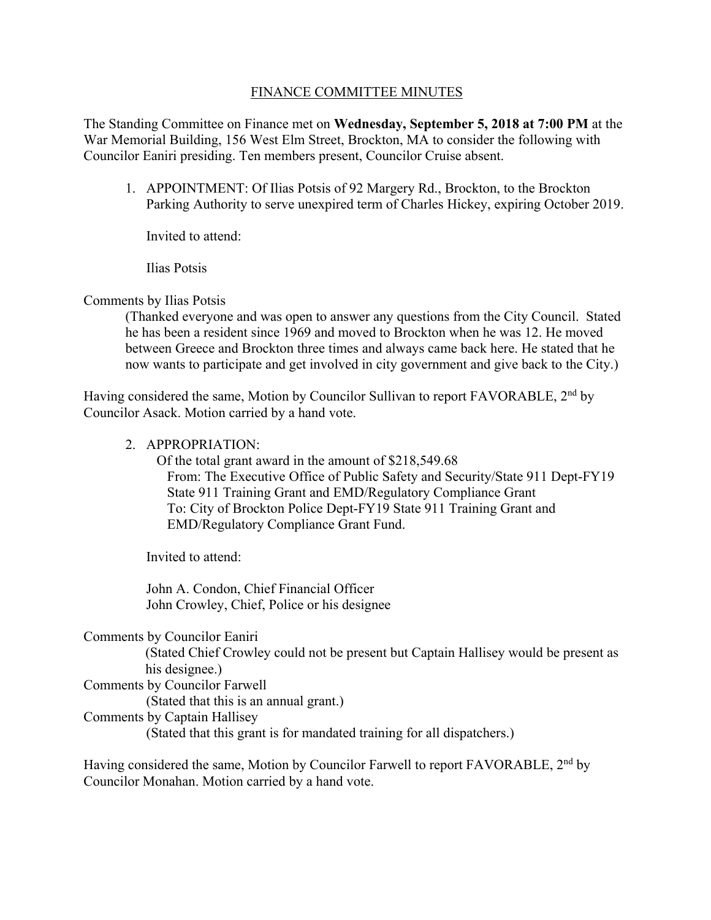## FINANCE COMMITTEE MINUTES

The Standing Committee on Finance met on **Wednesday, September 5, 2018 at 7:00 PM** at the War Memorial Building, 156 West Elm Street, Brockton, MA to consider the following with Councilor Eaniri presiding. Ten members present, Councilor Cruise absent.

1. APPOINTMENT: Of Ilias Potsis of 92 Margery Rd., Brockton, to the Brockton Parking Authority to serve unexpired term of Charles Hickey, expiring October 2019.

Invited to attend:

Ilias Potsis

## Comments by Ilias Potsis

(Thanked everyone and was open to answer any questions from the City Council. Stated he has been a resident since 1969 and moved to Brockton when he was 12. He moved between Greece and Brockton three times and always came back here. He stated that he now wants to participate and get involved in city government and give back to the City.)

Having considered the same, Motion by Councilor Sullivan to report FAVORABLE, 2<sup>nd</sup> by Councilor Asack. Motion carried by a hand vote.

#### 2. APPROPRIATION:

 Of the total grant award in the amount of \$[218,549.68](https://218,549.68)  From: The Executive Office of Public Safety and Security/State 911 Dept-FY19 State 911 Training Grant and EMD/Regulatory Compliance Grant To: City of Brockton Police Dept-FY19 State 911 Training Grant and EMD/Regulatory Compliance Grant Fund.

Invited to attend:

John A. Condon, Chief Financial Officer John Crowley, Chief, Police or his designee

Comments by Councilor Eaniri

(Stated Chief Crowley could not be present but Captain Hallisey would be present as his designee.)

#### Comments by Councilor Farwell

(Stated that this is an annual grant.)

Comments by Captain Hallisey

(Stated that this grant is for mandated training for all dispatchers.)

Having considered the same, Motion by Councilor Farwell to report FAVORABLE, 2<sup>nd</sup> by Councilor Monahan. Motion carried by a hand vote.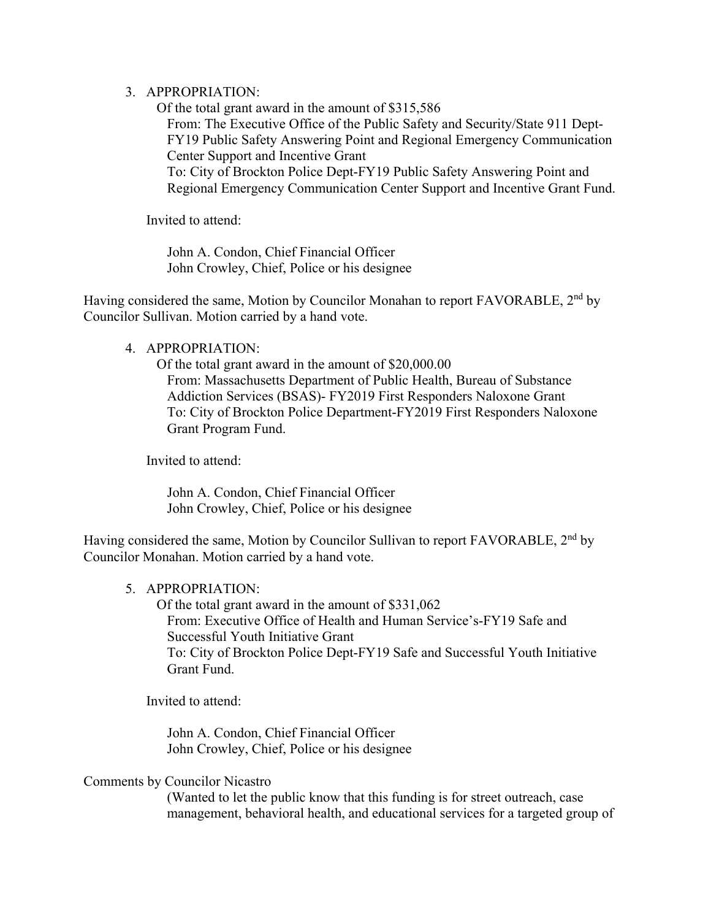# 3. APPROPRIATION:

 Of the total grant award in the amount of \$315,586 From: The Executive Office of the Public Safety and Security/State 911 Dept-FY19 Public Safety Answering Point and Regional Emergency Communication Center Support and Incentive Grant To: City of Brockton Police Dept-FY19 Public Safety Answering Point and Regional Emergency Communication Center Support and Incentive Grant Fund.

Invited to attend:

John A. Condon, Chief Financial Officer John Crowley, Chief, Police or his designee

Having considered the same, Motion by Councilor Monahan to report FAVORABLE, 2<sup>nd</sup> by Councilor Sullivan. Motion carried by a hand vote.

# 4. APPROPRIATION:

 Of the total grant award in the amount of \$[20,000.00](https://20,000.00)  From: Massachusetts Department of Public Health, Bureau of Substance Addiction Services (BSAS)- FY2019 First Responders Naloxone Grant To: City of Brockton Police Department-FY2019 First Responders Naloxone Grant Program Fund.

Invited to attend:

John A. Condon, Chief Financial Officer John Crowley, Chief, Police or his designee

Having considered the same, Motion by Councilor Sullivan to report FAVORABLE, 2<sup>nd</sup> by Councilor Monahan. Motion carried by a hand vote.

## 5. APPROPRIATION:

 Of the total grant award in the amount of \$331,062 From: Executive Office of Health and Human Service's-FY19 Safe and Successful Youth Initiative Grant To: City of Brockton Police Dept-FY19 Safe and Successful Youth Initiative Grant Fund.

Invited to attend:

John A. Condon, Chief Financial Officer John Crowley, Chief, Police or his designee

## Comments by Councilor Nicastro

(Wanted to let the public know that this funding is for street outreach, case management, behavioral health, and educational services for a targeted group of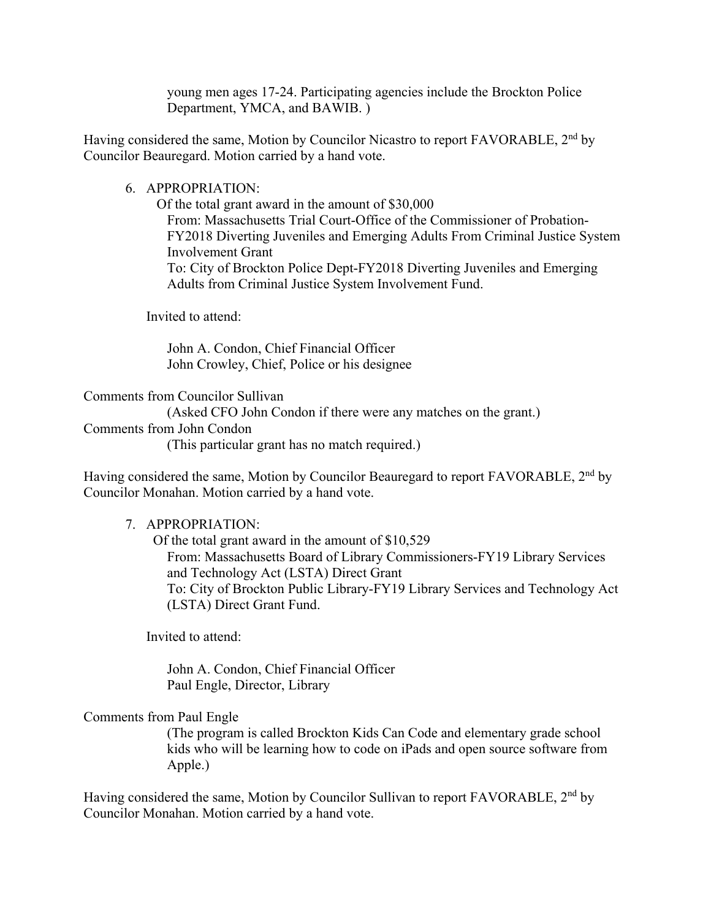young men ages 17-24. Participating agencies include the Brockton Police Department, YMCA, and BAWIB. )

Having considered the same, Motion by Councilor Nicastro to report FAVORABLE, 2<sup>nd</sup> by Councilor Beauregard. Motion carried by a hand vote.

#### 6. APPROPRIATION:

 Of the total grant award in the amount of \$30,000 From: Massachusetts Trial Court-Office of the Commissioner of Probation-FY2018 Diverting Juveniles and Emerging Adults From Criminal Justice System Involvement Grant To: City of Brockton Police Dept-FY2018 Diverting Juveniles and Emerging Adults from Criminal Justice System Involvement Fund.

Invited to attend:

John A. Condon, Chief Financial Officer John Crowley, Chief, Police or his designee

Comments from Councilor Sullivan

(Asked CFO John Condon if there were any matches on the grant.)

Comments from John Condon

(This particular grant has no match required.)

Having considered the same, Motion by Councilor Beauregard to report FAVORABLE, 2<sup>nd</sup> by Councilor Monahan. Motion carried by a hand vote.

## 7. APPROPRIATION:

 Of the total grant award in the amount of \$10,529 From: Massachusetts Board of Library Commissioners-FY19 Library Services and Technology Act (LSTA) Direct Grant To: City of Brockton Public Library-FY19 Library Services and Technology Act (LSTA) Direct Grant Fund.

Invited to attend:

John A. Condon, Chief Financial Officer Paul Engle, Director, Library

Comments from Paul Engle

(The program is called Brockton Kids Can Code and elementary grade school kids who will be learning how to code on iPads and open source software from Apple.)

Having considered the same, Motion by Councilor Sullivan to report FAVORABLE, 2<sup>nd</sup> by Councilor Monahan. Motion carried by a hand vote.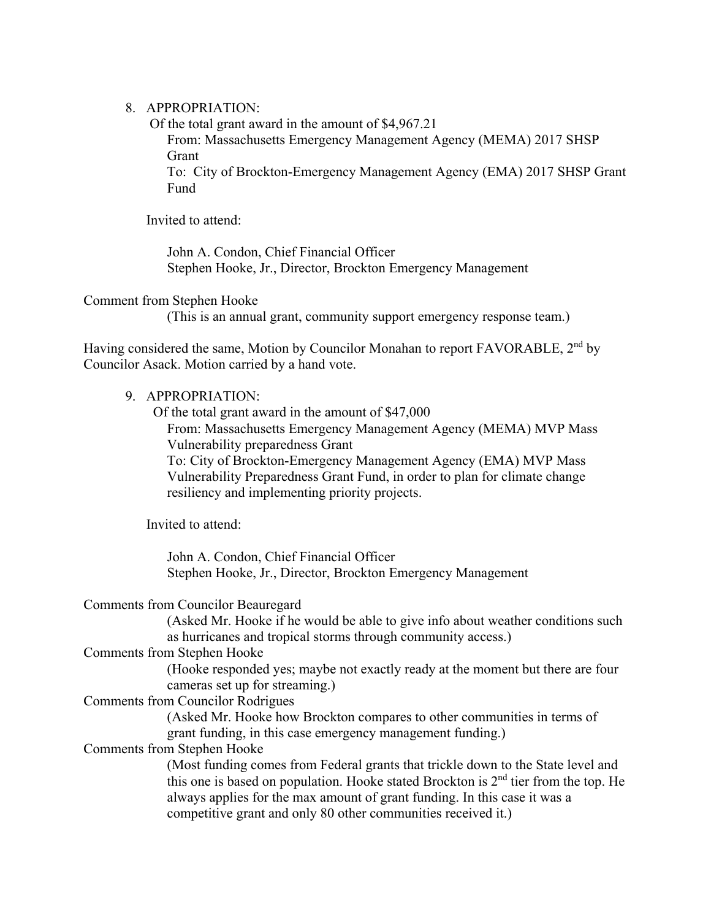## 8. APPROPRIATION:

 Of the total grant award in the amount of \$[4,967.21](https://4,967.21)  From: Massachusetts Emergency Management Agency (MEMA) 2017 SHSP Grant

To: City of Brockton-Emergency Management Agency (EMA) 2017 SHSP Grant Fund

Invited to attend:

John A. Condon, Chief Financial Officer Stephen Hooke, Jr., Director, Brockton Emergency Management

Comment from Stephen Hooke

(This is an annual grant, community support emergency response team.)

Having considered the same, Motion by Councilor Monahan to report FAVORABLE, 2<sup>nd</sup> by Councilor Asack. Motion carried by a hand vote.

#### 9. APPROPRIATION:

 Of the total grant award in the amount of \$47,000 From: Massachusetts Emergency Management Agency (MEMA) MVP Mass Vulnerability preparedness Grant To: City of Brockton-Emergency Management Agency (EMA) MVP Mass Vulnerability Preparedness Grant Fund, in order to plan for climate change resiliency and implementing priority projects.

Invited to attend:

John A. Condon, Chief Financial Officer Stephen Hooke, Jr., Director, Brockton Emergency Management

Comments from Councilor Beauregard

(Asked Mr. Hooke if he would be able to give info about weather conditions such as hurricanes and tropical storms through community access.)

#### Comments from Stephen Hooke

(Hooke responded yes; maybe not exactly ready at the moment but there are four cameras set up for streaming.)

Comments from Councilor Rodrigues

(Asked Mr. Hooke how Brockton compares to other communities in terms of grant funding, in this case emergency management funding.)

Comments from Stephen Hooke

(Most funding comes from Federal grants that trickle down to the State level and this one is based on population. Hooke stated Brockton is  $2<sup>nd</sup>$  tier from the top. He always applies for the max amount of grant funding. In this case it was a competitive grant and only 80 other communities received it.)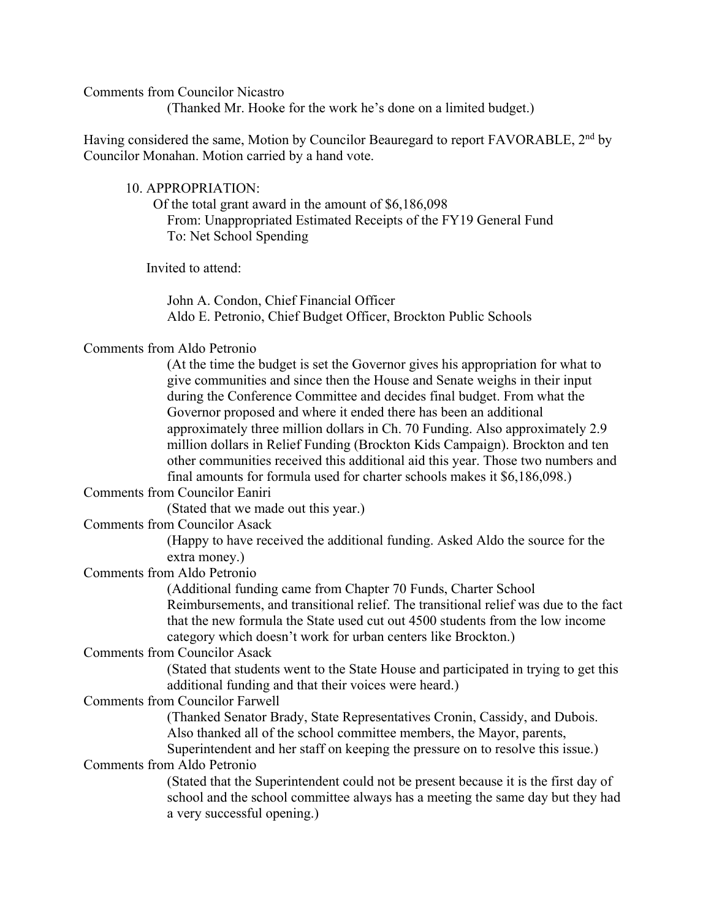Comments from Councilor Nicastro

(Thanked Mr. Hooke for the work he's done on a limited budget.)

Having considered the same, Motion by Councilor Beauregard to report FAVORABLE, 2<sup>nd</sup> by Councilor Monahan. Motion carried by a hand vote.

#### 10. APPROPRIATION:

 Of the total grant award in the amount of \$6,186,098 From: Unappropriated Estimated Receipts of the FY19 General Fund To: Net School Spending

Invited to attend:

John A. Condon, Chief Financial Officer Aldo E. Petronio, Chief Budget Officer, Brockton Public Schools

## Comments from Aldo Petronio

(At the time the budget is set the Governor gives his appropriation for what to give communities and since then the House and Senate weighs in their input during the Conference Committee and decides final budget. From what the Governor proposed and where it ended there has been an additional approximately three million dollars in Ch. 70 Funding. Also approximately 2.9 million dollars in Relief Funding (Brockton Kids Campaign). Brockton and ten other communities received this additional aid this year. Those two numbers and final amounts for formula used for charter schools makes it \$6,186,098.)

## Comments from Councilor Eaniri

(Stated that we made out this year.)

Comments from Councilor Asack

(Happy to have received the additional funding. Asked Aldo the source for the extra money.)

# Comments from Aldo Petronio

(Additional funding came from Chapter 70 Funds, Charter School Reimbursements, and transitional relief. The transitional relief was due to the fact that the new formula the State used cut out 4500 students from the low income category which doesn't work for urban centers like Brockton.)

#### Comments from Councilor Asack

(Stated that students went to the State House and participated in trying to get this additional funding and that their voices were heard.)

## Comments from Councilor Farwell

(Thanked Senator Brady, State Representatives Cronin, Cassidy, and Dubois. Also thanked all of the school committee members, the Mayor, parents,

Superintendent and her staff on keeping the pressure on to resolve this issue.)

# Comments from Aldo Petronio

(Stated that the Superintendent could not be present because it is the first day of school and the school committee always has a meeting the same day but they had a very successful opening.)